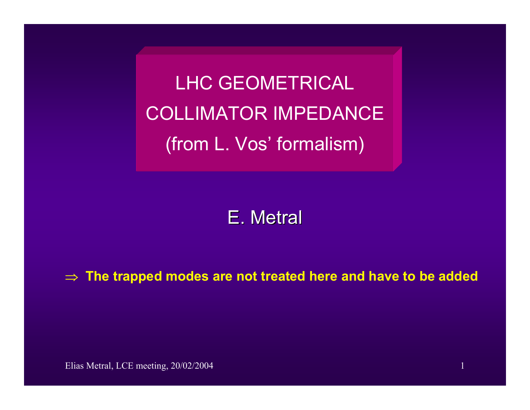LHC GEOMETRICALCOLLIMATOR IMPEDANCE (from L. Vos' formalism)

# E. Metral

#### ⇒**The trapped modes are not treated here and have to be added**

Elias Metral, LCE meeting, 20/02/2004 1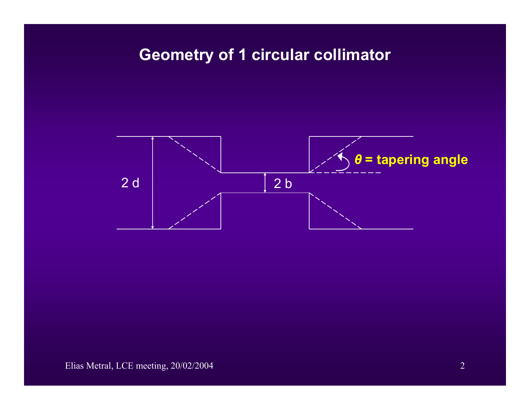# **Geometry of 1 circular collimator**

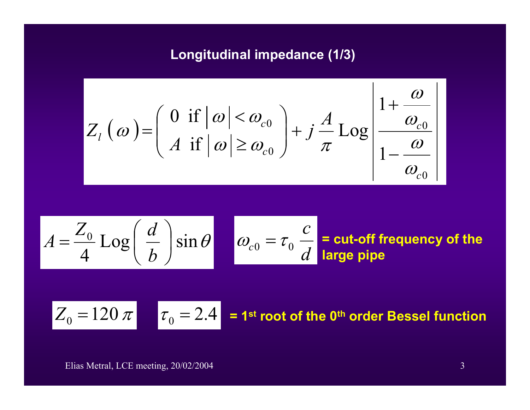## **Longitudinal impedance (1/3)**

$$
Z_{l}(\omega) = \left(\begin{array}{c} 0 \text{ if } |\omega| < \omega_{c0} \\ A \text{ if } |\omega| \ge \omega_{c0} \end{array}\right) + j\frac{A}{\pi} Log \left|\frac{1+\frac{\omega}{\omega_{c0}}}{1-\frac{\omega}{\omega_{c0}}}\right|
$$

$$
A = \frac{Z_0}{4} \text{Log}\left(\frac{d}{b}\right) \sin \theta
$$
  $\omega_{c0} = \tau_0 \frac{c}{d}$  = cut-off frequency of the

$$
Z_0 = 120 \pi
$$
  $\tau_0 = 2.4$  = 1<sup>st</sup> root of the 0<sup>th</sup> order Bessel function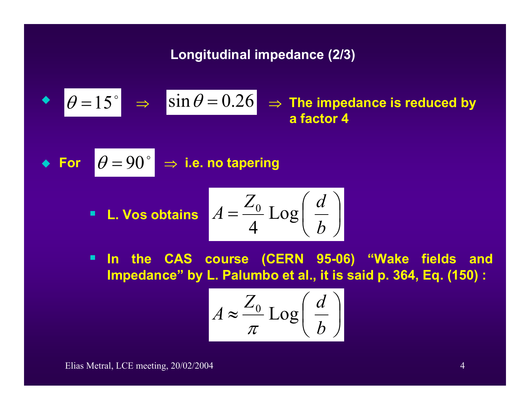**Longitudinal impedance (2/3)**

• 
$$
\theta = 15^{\circ}
$$
  $\Rightarrow$   $\sin \theta = 0.26$   $\Rightarrow$  The impedance is reduced by  
a factor 4

• For 
$$
|\theta = 90^{\circ}| \Rightarrow
$$
 i.e. no tapering

**1. Vos obtains** 
$$
A = \frac{Z_0}{4} \text{Log}\left(\frac{d}{b}\right)
$$

 $\blacksquare$  **In the CAS course (CERN 95-06) "Wake fields and Impedance" by L. Palumbo et al., it is said p. 364, Eq. (150) :**

$$
A \approx \frac{Z_0}{\pi} \text{Log}\left(\frac{d}{b}\right)
$$

Elias Metral, LCE meeting, 20/02/2004 4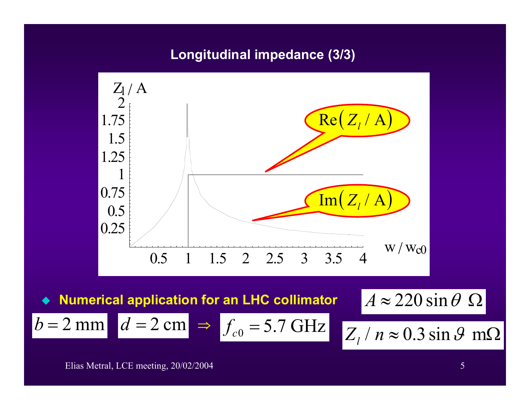#### **Longitudinal impedance (3/3)**



 $\Rightarrow$   $f_{c0}$  = 5.7 GHz

♦ **Numerical application for an LHC collimator**  $A \approx 220 \sin \theta$  **Ω** 

 $d = 2 \text{ cm} \Rightarrow$ 

 $_0$  = 3.7 GHZ  $Z_l$  $Z_1/n \approx 0.3 \sin \theta$  m $\Omega$ 

Elias Metral, LCE meeting, 20/02/2004 5

 $b = 2$  mm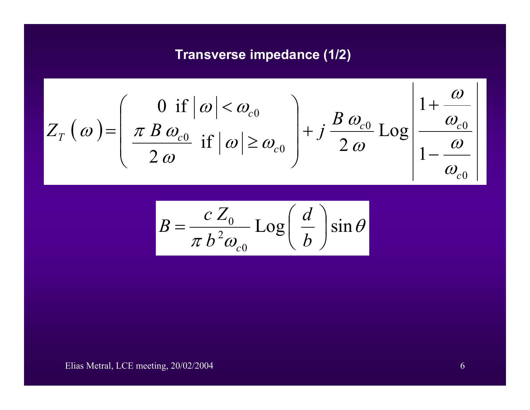### **Transverse impedance (1/2)**

$$
Z_T(\omega) = \left(\begin{array}{c|c} 0 & \text{if } |\omega| < \omega_{c0} \\ \hline z & \text{if } |\omega| \ge \omega_{c0} \\ \hline 2 & \omega & \text{if } |\omega| \ge \omega_{c0}\end{array}\right) + j\frac{B\omega_{c0}}{2\omega} \text{Log}\left|\frac{1+\frac{\omega}{\omega_{c0}}}{1-\frac{\omega}{\omega_{c0}}}\right|
$$

$$
B = \frac{c Z_0}{\pi b^2 \omega_{c0}} \text{Log}\left(\frac{d}{b}\right) \sin \theta
$$

Elias Metral, LCE meeting, 20/02/2004 6

 $\mathbf{I}$